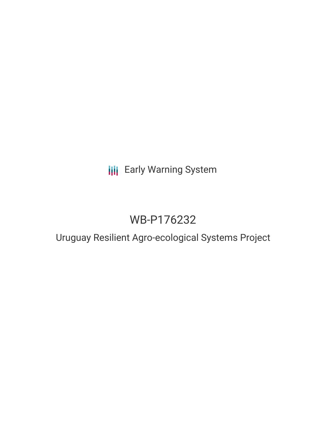# **III** Early Warning System

# WB-P176232

## Uruguay Resilient Agro-ecological Systems Project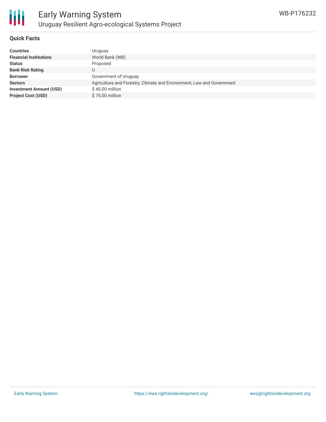

### **Quick Facts**

| <b>Countries</b>               | Uruguay                                                               |
|--------------------------------|-----------------------------------------------------------------------|
| <b>Financial Institutions</b>  | World Bank (WB)                                                       |
| <b>Status</b>                  | Proposed                                                              |
| <b>Bank Risk Rating</b>        | U                                                                     |
| <b>Borrower</b>                | Government of Uruguay                                                 |
| <b>Sectors</b>                 | Agriculture and Forestry, Climate and Environment, Law and Government |
| <b>Investment Amount (USD)</b> | \$40.00 million                                                       |
| <b>Project Cost (USD)</b>      | \$75.00 million                                                       |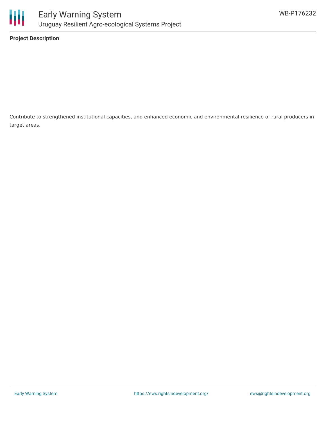

**Project Description**

Contribute to strengthened institutional capacities, and enhanced economic and environmental resilience of rural producers in target areas.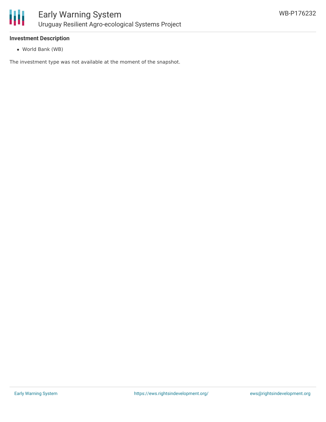

### **Investment Description**

World Bank (WB)

The investment type was not available at the moment of the snapshot.